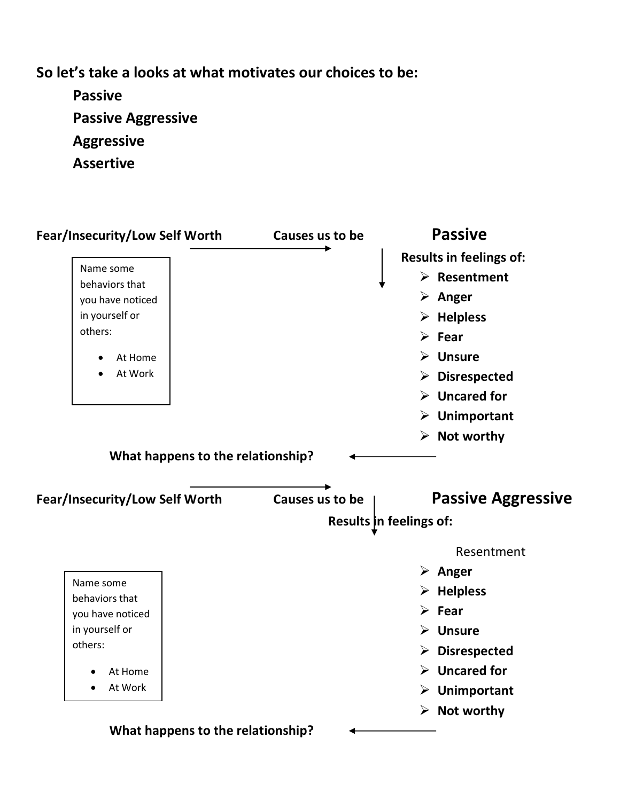**So let's take a looks at what motivates our choices to be:**

**Passive Passive Aggressive Aggressive Assertive**

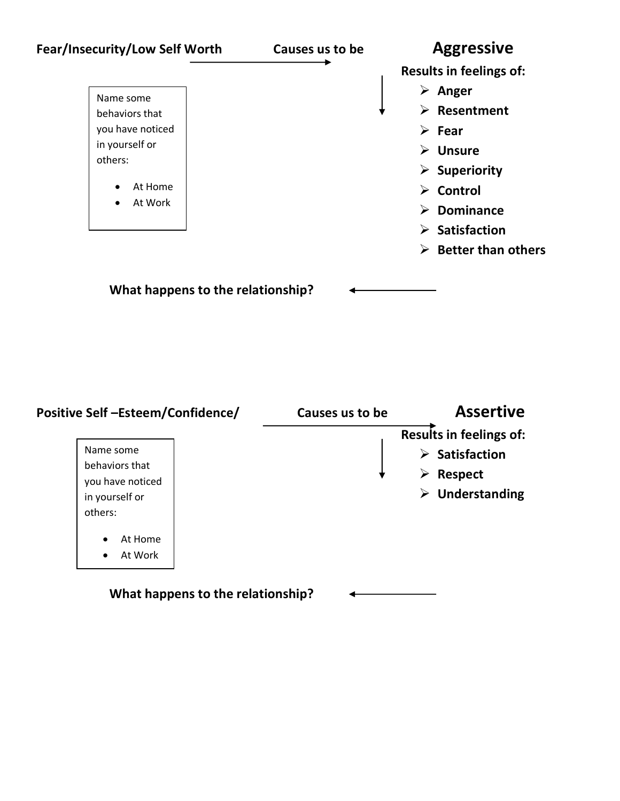

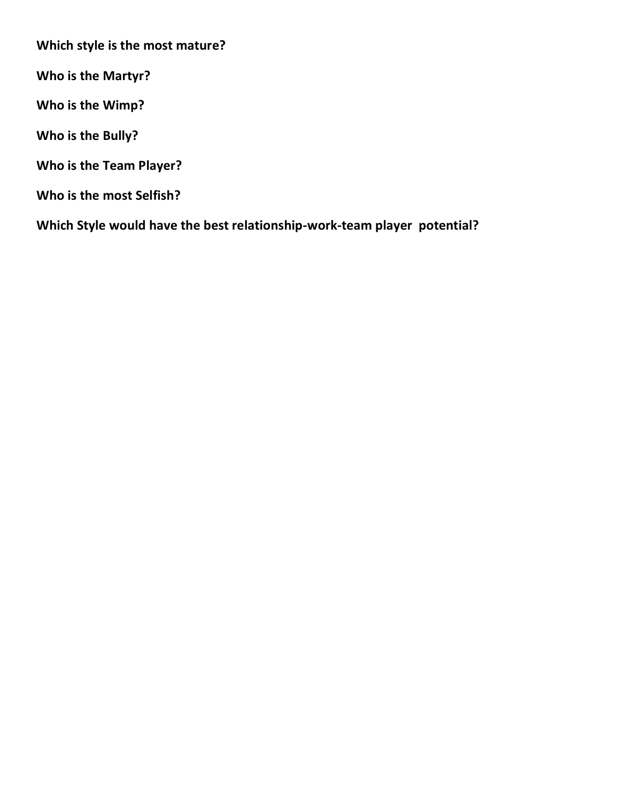**Which style is the most mature?**

**Who is the Martyr?**

**Who is the Wimp?**

**Who is the Bully?**

**Who is the Team Player?**

**Who is the most Selfish?**

**Which Style would have the best relationship-work-team player potential?**